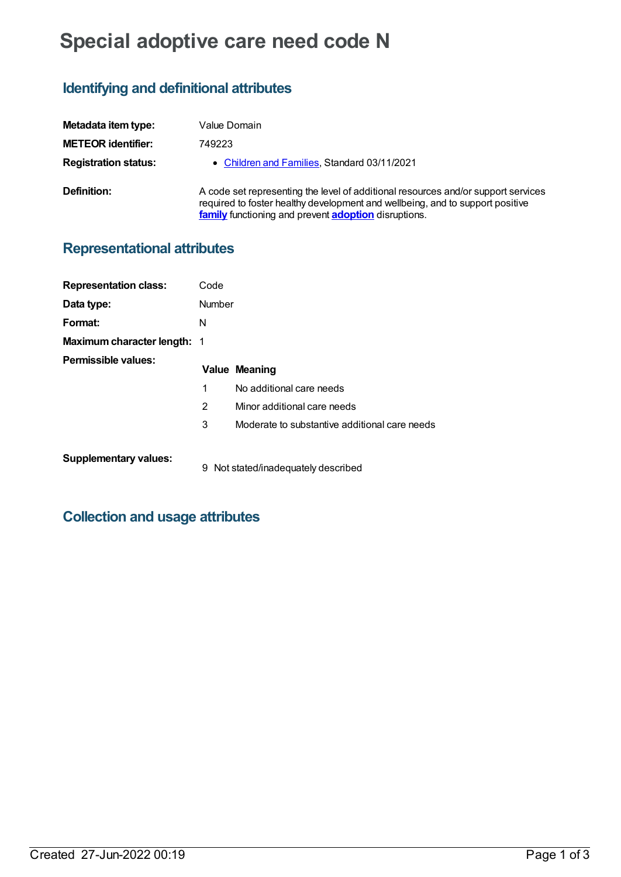# **Special adoptive care need code N**

## **Identifying and definitional attributes**

| Metadata item type:         | Value Domain                                                                                                                                                                                                                      |
|-----------------------------|-----------------------------------------------------------------------------------------------------------------------------------------------------------------------------------------------------------------------------------|
| <b>METEOR identifier:</b>   | 749223                                                                                                                                                                                                                            |
| <b>Registration status:</b> | • Children and Families, Standard 03/11/2021                                                                                                                                                                                      |
| Definition:                 | A code set representing the level of additional resources and/or support services<br>required to foster healthy development and wellbeing, and to support positive<br>family functioning and prevent <b>adoption</b> disruptions. |

## **Representational attributes**

| <b>Representation class:</b>       | Code   |                                               |
|------------------------------------|--------|-----------------------------------------------|
| Data type:                         | Number |                                               |
| Format:                            | N      |                                               |
| <b>Maximum character length: 1</b> |        |                                               |
| Permissible values:                |        | <b>Value Meaning</b>                          |
|                                    | 1      | No additional care needs                      |
|                                    | 2      | Minor additional care needs                   |
|                                    | 3      | Moderate to substantive additional care needs |
| <b>Supplementary values:</b>       |        | 9 Not stated/inadequately described           |

#### **Collection and usage attributes**